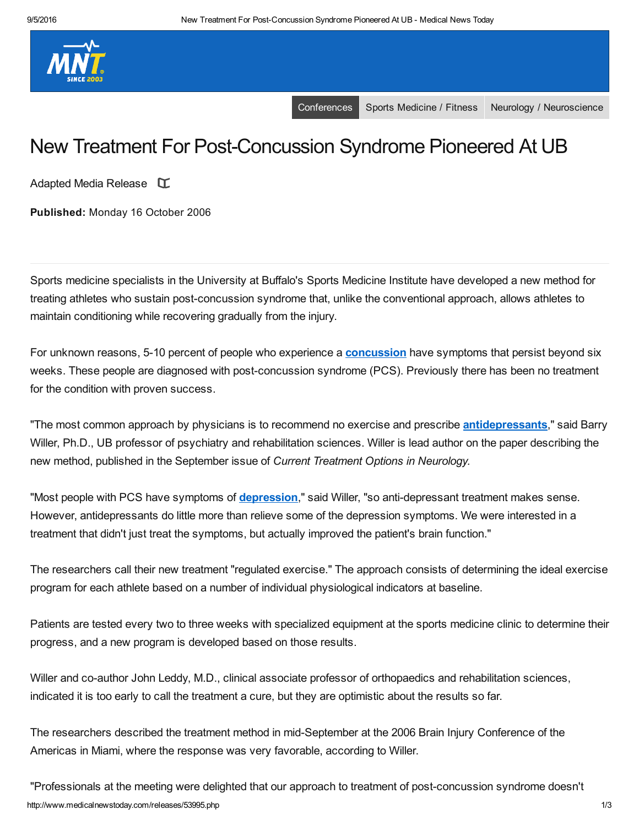

[Conferences](http://www.medicalnewstoday.com/categories/conferences) Sports [Medicine](http://www.medicalnewstoday.com/categories/sports_medicine) / Fitness Neurology / [Neuroscience](http://www.medicalnewstoday.com/categories/neurology)

# New Treatment For Post-Concussion Syndrome Pioneered At UB

Adapted Media Release  $\Gamma$ 

Published: Monday 16 October 2006

Sports medicine specialists in the University at Buffalo's Sports Medicine Institute have developed a new method for treating athletes who sustain post-concussion syndrome that, unlike the conventional approach, allows athletes to maintain conditioning while recovering gradually from the injury.

For unknown reasons, 5-10 percent of people who experience a **[concussion](http://www.medicalnewstoday.com/articles/158876.php)** have symptoms that persist beyond six weeks. These people are diagnosed with post-concussion syndrome (PCS). Previously there has been no treatment for the condition with proven success.

"The most common approach by physicians is to recommend no exercise and prescribe **antidepressants**," said Barry Willer, Ph.D., UB professor of psychiatry and rehabilitation sciences. Willer is lead author on the paper describing the new method, published in the September issue of *Current Treatment Options in Neurology.*

"Most people with PCS have symptoms of **depression**," said Willer, "so anti-depressant treatment makes sense. However, antidepressants do little more than relieve some of the depression symptoms. We were interested in a treatment that didn't just treat the symptoms, but actually improved the patient's brain function."

The researchers call their new treatment "regulated exercise." The approach consists of determining the ideal exercise program for each athlete based on a number of individual physiological indicators at baseline.

Patients are tested every two to three weeks with specialized equipment at the sports medicine clinic to determine their progress, and a new program is developed based on those results.

Willer and co-author John Leddy, M.D., clinical associate professor of orthopaedics and rehabilitation sciences, indicated it is too early to call the treatment a cure, but they are optimistic about the results so far.

The researchers described the treatment method in mid-September at the 2006 Brain Injury Conference of the Americas in Miami, where the response was very favorable, according to Willer.

http://www.medicalnewstoday.com/releases/53995.php 1/3 "Professionals at the meeting were delighted that our approach to treatment of postconcussion syndrome doesn't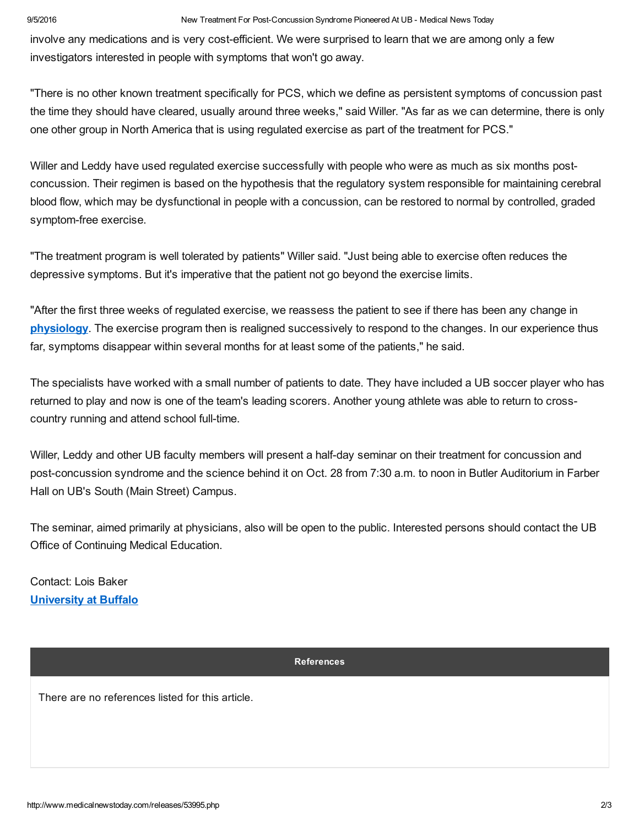#### 9/5/2016 New Treatment For PostConcussion Syndrome Pioneered At UB Medical News Today

involve any medications and is very costefficient. We were surprised to learn that we are among only a few investigators interested in people with symptoms that won't go away.

"There is no other known treatment specifically for PCS, which we define as persistent symptoms of concussion past the time they should have cleared, usually around three weeks," said Willer. "As far as we can determine, there is only one other group in North America that is using regulated exercise as part of the treatment for PCS."

Willer and Leddy have used regulated exercise successfully with people who were as much as six months postconcussion. Their regimen is based on the hypothesis that the regulatory system responsible for maintaining cerebral blood flow, which may be dysfunctional in people with a concussion, can be restored to normal by controlled, graded symptom-free exercise.

"The treatment program is well tolerated by patients" Willer said. "Just being able to exercise often reduces the depressive symptoms. But it's imperative that the patient not go beyond the exercise limits.

"After the first three weeks of regulated exercise, we reassess the patient to see if there has been any change in [physiology.](http://www.medicalnewstoday.com/articles/248791.php) The exercise program then is realigned successively to respond to the changes. In our experience thus far, symptoms disappear within several months for at least some of the patients," he said.

The specialists have worked with a small number of patients to date. They have included a UB soccer player who has returned to play and now is one of the team's leading scorers. Another young athlete was able to return to crosscountry running and attend school full-time.

Willer, Leddy and other UB faculty members will present a half-day seminar on their treatment for concussion and post-concussion syndrome and the science behind it on Oct. 28 from 7:30 a.m. to noon in Butler Auditorium in Farber Hall on UB's South (Main Street) Campus.

The seminar, aimed primarily at physicians, also will be open to the public. Interested persons should contact the UB Office of Continuing Medical Education.

Contact: Lois Baker [University](http://www.buffalo.edu/) at Buffalo

## References

There are no references listed for this article.